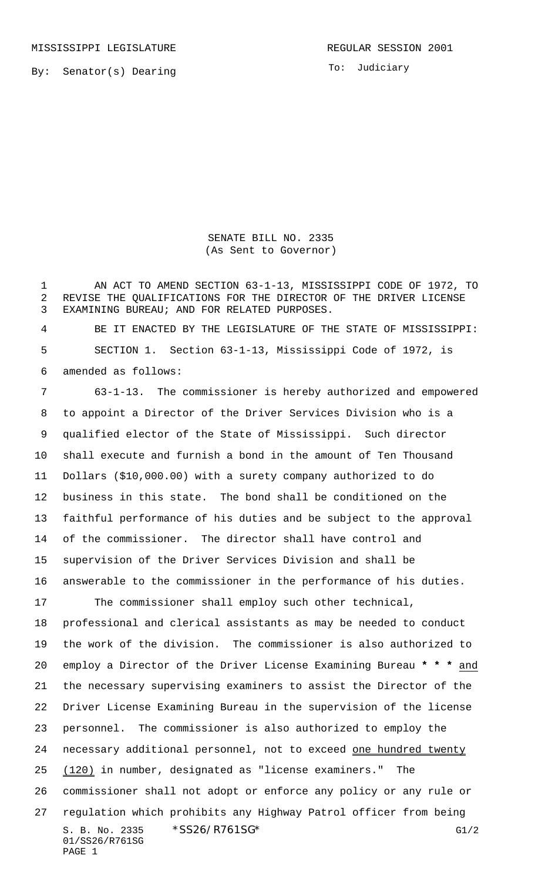MISSISSIPPI LEGISLATURE **REGULAR SESSION 2001** 

By: Senator(s) Dearing

To: Judiciary

SENATE BILL NO. 2335 (As Sent to Governor)

 AN ACT TO AMEND SECTION 63-1-13, MISSISSIPPI CODE OF 1972, TO REVISE THE QUALIFICATIONS FOR THE DIRECTOR OF THE DRIVER LICENSE EXAMINING BUREAU; AND FOR RELATED PURPOSES.

 BE IT ENACTED BY THE LEGISLATURE OF THE STATE OF MISSISSIPPI: SECTION 1. Section 63-1-13, Mississippi Code of 1972, is amended as follows:

S. B. No. 2335 \* SS26/R761SG\* G1/2 01/SS26/R761SG PAGE 1 63-1-13. The commissioner is hereby authorized and empowered to appoint a Director of the Driver Services Division who is a qualified elector of the State of Mississippi. Such director shall execute and furnish a bond in the amount of Ten Thousand Dollars (\$10,000.00) with a surety company authorized to do business in this state. The bond shall be conditioned on the faithful performance of his duties and be subject to the approval of the commissioner. The director shall have control and supervision of the Driver Services Division and shall be answerable to the commissioner in the performance of his duties. The commissioner shall employ such other technical, professional and clerical assistants as may be needed to conduct the work of the division. The commissioner is also authorized to employ a Director of the Driver License Examining Bureau **\* \* \*** and the necessary supervising examiners to assist the Director of the Driver License Examining Bureau in the supervision of the license personnel. The commissioner is also authorized to employ the 24 necessary additional personnel, not to exceed one hundred twenty 25 (120) in number, designated as "license examiners." The commissioner shall not adopt or enforce any policy or any rule or regulation which prohibits any Highway Patrol officer from being